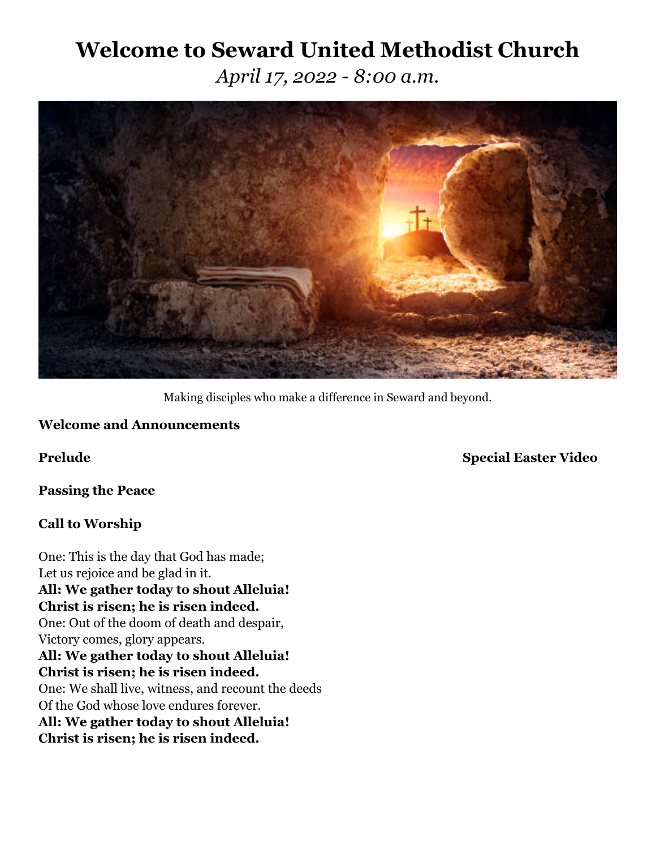# **Welcome to Seward United Methodist Church**

*April 17, 2022 - 8:00 a.m.*



Making disciples who make a difference in Seward and beyond.

## **Welcome and Announcements**

**Passing the Peace**

# **Call to Worship**

One: This is the day that God has made; Let us rejoice and be glad in it. **All: We gather today to shout Alleluia! Christ is risen; he is risen indeed.** One: Out of the doom of death and despair, Victory comes, glory appears. **All: We gather today to shout Alleluia! Christ is risen; he is risen indeed.** One: We shall live, witness, and recount the deeds Of the God whose love endures forever. **All: We gather today to shout Alleluia! Christ is risen; he is risen indeed.**

# **Prelude Special Easter Video**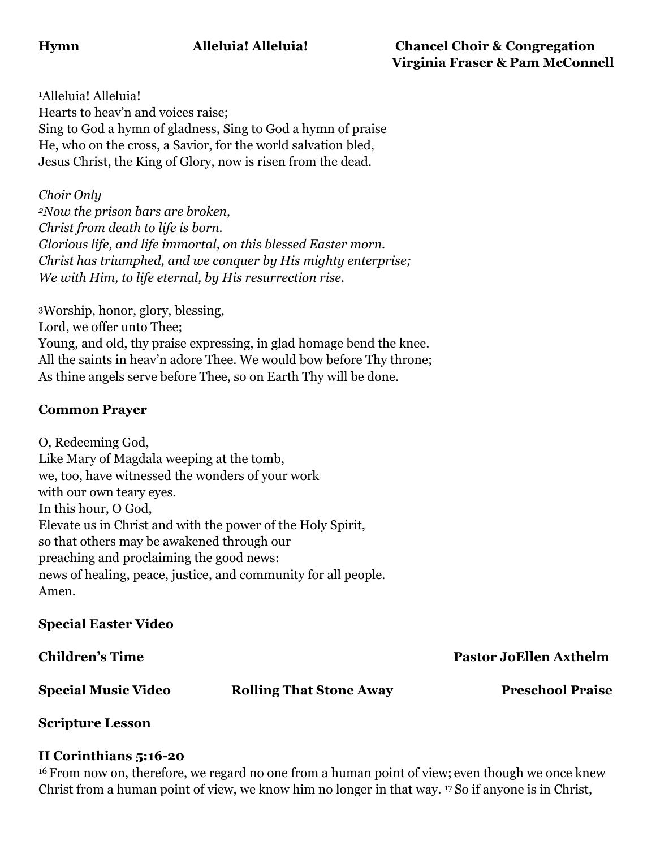1Alleluia! Alleluia! Hearts to heav'n and voices raise; Sing to God a hymn of gladness, Sing to God a hymn of praise He, who on the cross, a Savior, for the world salvation bled, Jesus Christ, the King of Glory, now is risen from the dead.

*Choir Only 2Now the prison bars are broken, Christ from death to life is born. Glorious life, and life immortal, on this blessed Easter morn. Christ has triumphed, and we conquer by His mighty enterprise; We with Him, to life eternal, by His resurrection rise.*

3Worship, honor, glory, blessing, Lord, we offer unto Thee; Young, and old, thy praise expressing, in glad homage bend the knee. All the saints in heav'n adore Thee. We would bow before Thy throne; As thine angels serve before Thee, so on Earth Thy will be done.

### **Common Prayer**

O, Redeeming God, Like Mary of Magdala weeping at the tomb, we, too, have witnessed the wonders of your work with our own teary eyes. In this hour, O God, Elevate us in Christ and with the power of the Holy Spirit, so that others may be awakened through our preaching and proclaiming the good news: news of healing, peace, justice, and community for all people. Amen.

# **Special Easter Video**

**Children's Time Pastor JoEllen Axthelm Special Music Video Rolling That Stone Away Preschool Praise** 

**Scripture Lesson** 

### **II Corinthians 5:16-20**

<sup>16</sup> From now on, therefore, we regard no one from a human point of view; even though we once knew Christ from a human point of view, we know him no longer in that way. 17 So if anyone is in Christ,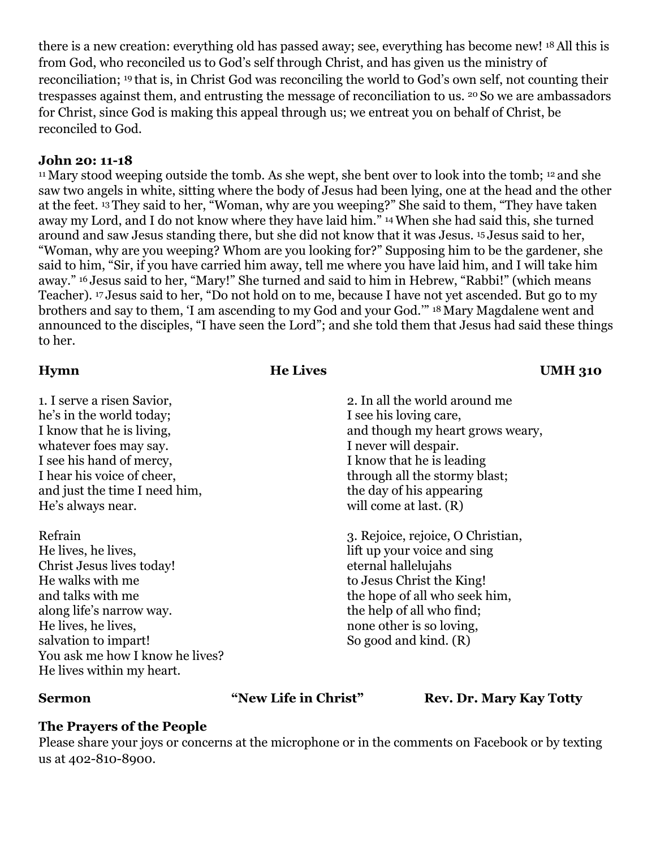there is a new creation: everything old has passed away; see, everything has become new! 18All this is from God, who reconciled us to God's self through Christ, and has given us the ministry of reconciliation; 19 that is, in Christ God was reconciling the world to God's own self, not counting their trespasses against them, and entrusting the message of reconciliation to us. 20 So we are ambassadors for Christ, since God is making this appeal through us; we entreat you on behalf of Christ, be reconciled to God.

### **John 20: 11-18**

<sup>11</sup> Mary stood weeping outside the tomb. As she wept, she bent over to look into the tomb; 12 and she saw two angels in white, sitting where the body of Jesus had been lying, one at the head and the other at the feet. 13 They said to her, "Woman, why are you weeping?" She said to them, "They have taken away my Lord, and I do not know where they have laid him." 14When she had said this, she turned around and saw Jesus standing there, but she did not know that it was Jesus. 15 Jesus said to her, "Woman, why are you weeping? Whom are you looking for?" Supposing him to be the gardener, she said to him, "Sir, if you have carried him away, tell me where you have laid him, and I will take him away." 16 Jesus said to her, "Mary!" She turned and said to him in Hebrew, "Rabbi!" (which means Teacher). 17 Jesus said to her, "Do not hold on to me, because I have not yet ascended. But go to my brothers and say to them, 'I am ascending to my God and your God.'" 18 Mary Magdalene went and announced to the disciples, "I have seen the Lord"; and she told them that Jesus had said these things to her.

| <b>Hymn</b>                     | <b>He Lives</b> | <b>UMH 310</b>                    |
|---------------------------------|-----------------|-----------------------------------|
| 1. I serve a risen Savior,      |                 | 2. In all the world around me     |
| he's in the world today;        |                 | I see his loving care,            |
| I know that he is living,       |                 | and though my heart grows weary,  |
| whatever foes may say.          |                 | I never will despair.             |
| I see his hand of mercy,        |                 | I know that he is leading         |
| I hear his voice of cheer,      |                 | through all the stormy blast;     |
| and just the time I need him,   |                 | the day of his appearing          |
| He's always near.               |                 | will come at last. $(R)$          |
| Refrain                         |                 | 3. Rejoice, rejoice, O Christian, |
| He lives, he lives,             |                 | lift up your voice and sing       |
| Christ Jesus lives today!       |                 | eternal hallelujahs               |
| He walks with me                |                 | to Jesus Christ the King!         |
| and talks with me               |                 | the hope of all who seek him,     |
| along life's narrow way.        |                 | the help of all who find;         |
| He lives, he lives,             |                 | none other is so loving,          |
| salvation to impart!            |                 | So good and kind. (R)             |
| You ask me how I know he lives? |                 |                                   |
| He lives within my heart.       |                 |                                   |

**Sermon "New Life in Christ"** Rev. Dr. Mary Kay Totty

#### **The Prayers of the People**

Please share your joys or concerns at the microphone or in the comments on Facebook or by texting us at 402-810-8900.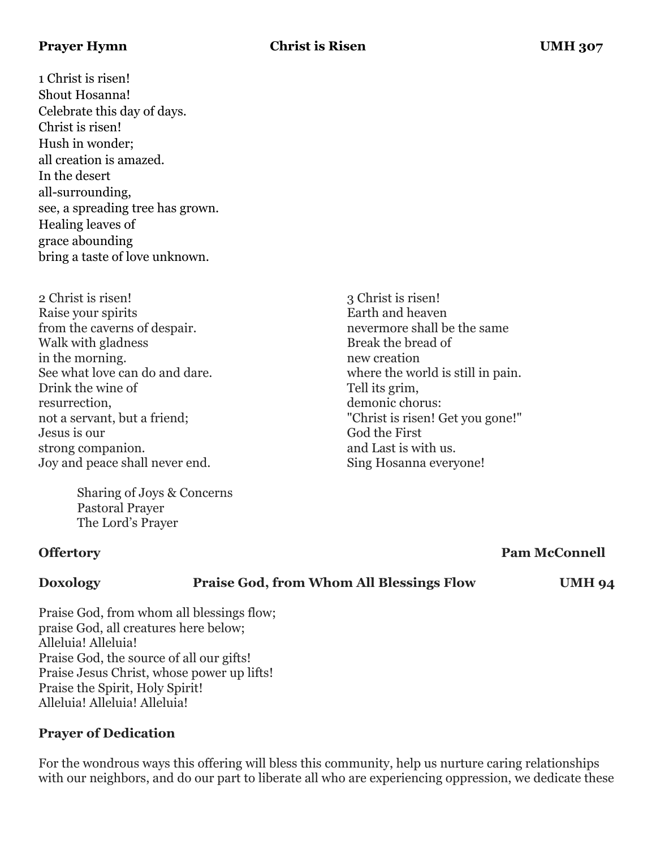- 1 Christ is risen! Shout Hosanna! Celebrate this day of days. Christ is risen! Hush in wonder; all creation is amazed. In the desert all-surrounding, see, a spreading tree has grown. Healing leaves of grace abounding bring a taste of love unknown.
- 2 Christ is risen! 3 Christ is risen! Raise your spirits Earth and heaven from the caverns of despair. The nevermore shall be the same Walk with gladness and the break the bread of the bread of in the morning. The morning is new creation See what love can do and dare. where the world is still in pain. Drink the wine of Tell its grim, resurrection, demonic chorus: not a servant, but a friend;<br>
"Christ is risen! Get you gone!" Jesus is our God the First strong companion.  $\Box$  and Last is with us. Joy and peace shall never end. Sing Hosanna everyone!

Sharing of Joys & Concerns Pastoral Prayer The Lord's Prayer

### **Offertory Pam McConnell**

**Doxology Praise God, from Whom All Blessings Flow UMH 94**

Praise God, from whom all blessings flow; praise God, all creatures here below; Alleluia! Alleluia! Praise God, the source of all our gifts! Praise Jesus Christ, whose power up lifts! Praise the Spirit, Holy Spirit! Alleluia! Alleluia! Alleluia!

### **Prayer of Dedication**

For the wondrous ways this offering will bless this community, help us nurture caring relationships with our neighbors, and do our part to liberate all who are experiencing oppression, we dedicate these

- -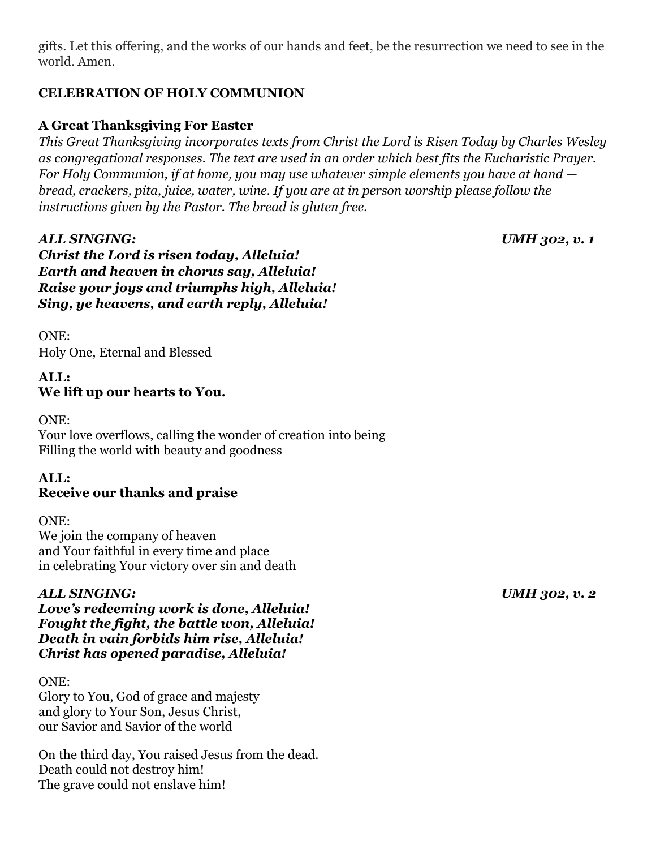gifts. Let this offering, and the works of our hands and feet, be the resurrection we need to see in the world. Amen.

# **CELEBRATION OF HOLY COMMUNION**

## **A Great Thanksgiving For Easter**

*This Great Thanksgiving incorporates texts from Christ the Lord is Risen Today by Charles Wesley as congregational responses. The text are used in an order which best fits the Eucharistic Prayer. For Holy Communion, if at home, you may use whatever simple elements you have at hand bread, crackers, pita, juice, water, wine. If you are at in person worship please follow the instructions given by the Pastor. The bread is gluten free.*

# *ALL SINGING: UMH 302, v. 1*

*Christ the Lord is risen today, Alleluia! Earth and heaven in chorus say, Alleluia! Raise your joys and triumphs high, Alleluia! Sing, ye heavens, and earth reply, Alleluia!*

ONE: Holy One, Eternal and Blessed

### **ALL: We lift up our hearts to You.**

ONE:

Your love overflows, calling the wonder of creation into being Filling the world with beauty and goodness

### **ALL: Receive our thanks and praise**

ONE: We join the company of heaven and Your faithful in every time and place in celebrating Your victory over sin and death

# *ALL SINGING: UMH 302, v. 2*

*Love's redeeming work is done, Alleluia! Fought the fight, the battle won, Alleluia! Death in vain forbids him rise, Alleluia! Christ has opened paradise, Alleluia!*

### ONE:

Glory to You, God of grace and majesty and glory to Your Son, Jesus Christ, our Savior and Savior of the world

On the third day, You raised Jesus from the dead. Death could not destroy him! The grave could not enslave him!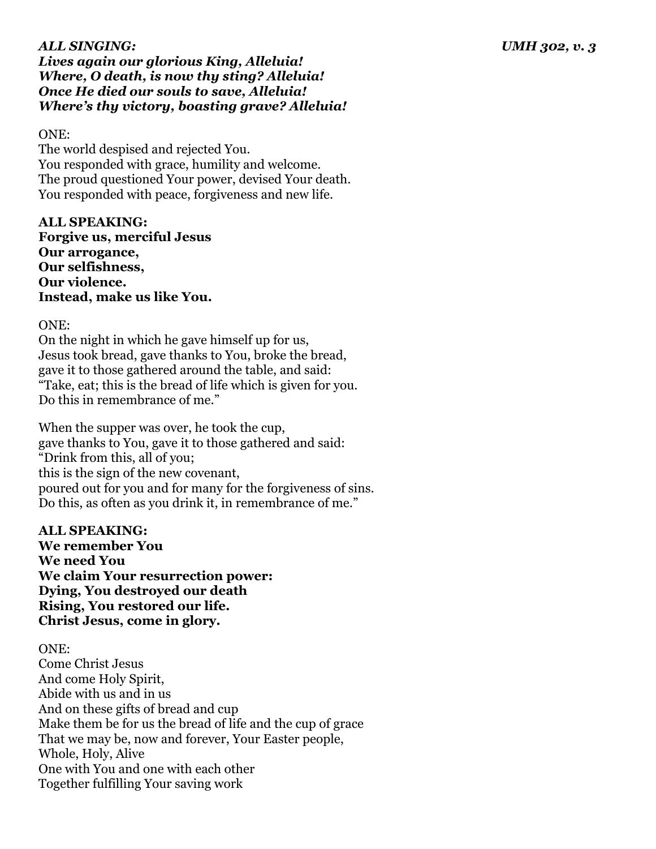#### *ALL SINGING: UMH 302, v. 3*

*Lives again our glorious King, Alleluia! Where, O death, is now thy sting? Alleluia! Once He died our souls to save, Alleluia! Where's thy victory, boasting grave? Alleluia!*

#### ONE:

The world despised and rejected You. You responded with grace, humility and welcome. The proud questioned Your power, devised Your death. You responded with peace, forgiveness and new life.

**ALL SPEAKING: Forgive us, merciful Jesus Our arrogance, Our selfishness, Our violence. Instead, make us like You.**

#### ONE:

On the night in which he gave himself up for us, Jesus took bread, gave thanks to You, broke the bread, gave it to those gathered around the table, and said: "Take, eat; this is the bread of life which is given for you. Do this in remembrance of me."

When the supper was over, he took the cup, gave thanks to You, gave it to those gathered and said: "Drink from this, all of you; this is the sign of the new covenant, poured out for you and for many for the forgiveness of sins. Do this, as often as you drink it, in remembrance of me."

**ALL SPEAKING: We remember You We need You We claim Your resurrection power: Dying, You destroyed our death Rising, You restored our life.**

**Christ Jesus, come in glory.**

#### ONE:

Come Christ Jesus And come Holy Spirit, Abide with us and in us And on these gifts of bread and cup Make them be for us the bread of life and the cup of grace That we may be, now and forever, Your Easter people, Whole, Holy, Alive One with You and one with each other Together fulfilling Your saving work